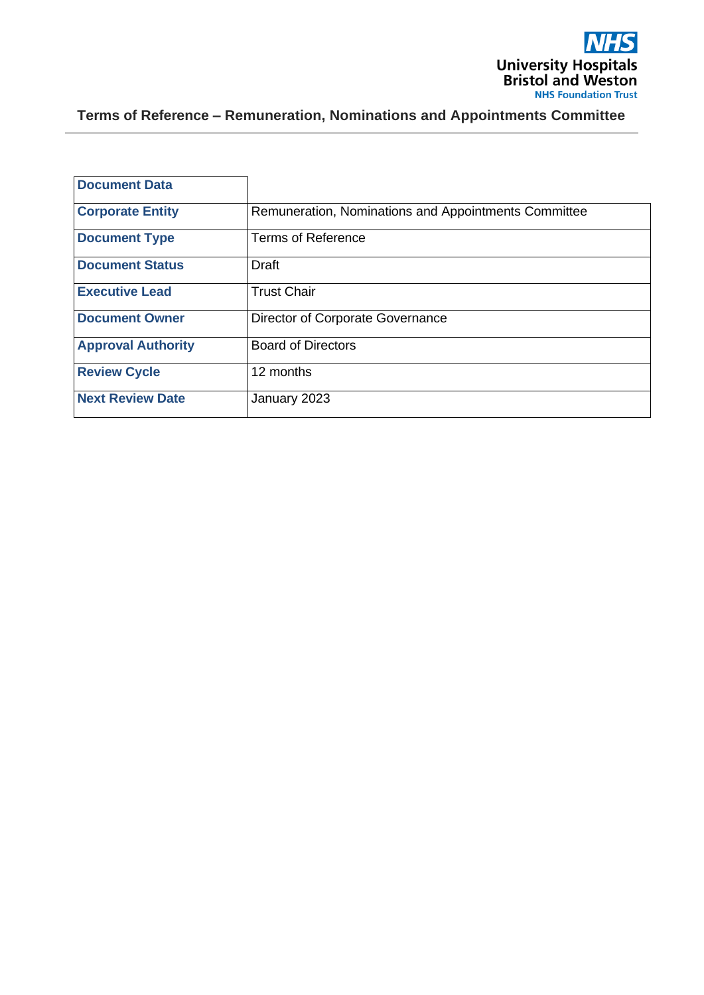

**Terms of Reference – Remuneration, Nominations and Appointments Committee**

| <b>Document Data</b>      |                                                      |
|---------------------------|------------------------------------------------------|
| <b>Corporate Entity</b>   | Remuneration, Nominations and Appointments Committee |
| <b>Document Type</b>      | <b>Terms of Reference</b>                            |
| <b>Document Status</b>    | Draft                                                |
| <b>Executive Lead</b>     | <b>Trust Chair</b>                                   |
| <b>Document Owner</b>     | Director of Corporate Governance                     |
| <b>Approval Authority</b> | <b>Board of Directors</b>                            |
| <b>Review Cycle</b>       | 12 months                                            |
| <b>Next Review Date</b>   | January 2023                                         |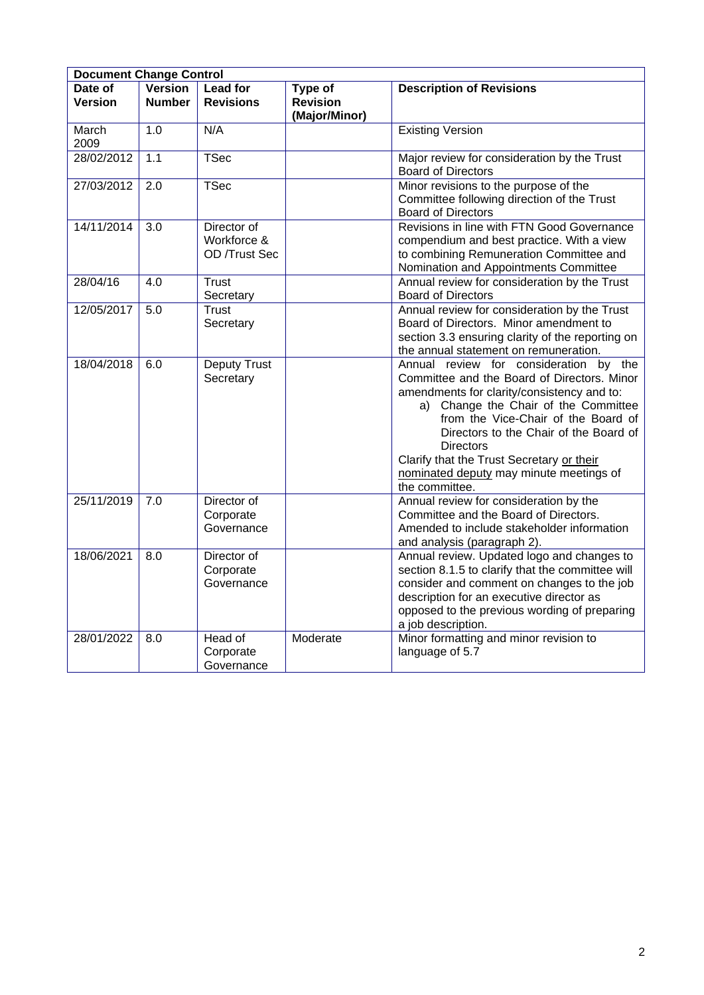| <b>Document Change Control</b> |                                 |                                             |                            |                                                                                                                                                                                                                                                                                                                                                                                            |
|--------------------------------|---------------------------------|---------------------------------------------|----------------------------|--------------------------------------------------------------------------------------------------------------------------------------------------------------------------------------------------------------------------------------------------------------------------------------------------------------------------------------------------------------------------------------------|
| Date of<br><b>Version</b>      | <b>Version</b><br><b>Number</b> | <b>Lead for</b><br><b>Revisions</b>         | Type of<br><b>Revision</b> | <b>Description of Revisions</b>                                                                                                                                                                                                                                                                                                                                                            |
|                                |                                 |                                             | (Major/Minor)              |                                                                                                                                                                                                                                                                                                                                                                                            |
| March<br>2009                  | 1.0                             | N/A                                         |                            | <b>Existing Version</b>                                                                                                                                                                                                                                                                                                                                                                    |
| 28/02/2012                     | 1.1                             | <b>TSec</b>                                 |                            | Major review for consideration by the Trust<br><b>Board of Directors</b>                                                                                                                                                                                                                                                                                                                   |
| 27/03/2012                     | 2.0                             | <b>TSec</b>                                 |                            | Minor revisions to the purpose of the<br>Committee following direction of the Trust<br><b>Board of Directors</b>                                                                                                                                                                                                                                                                           |
| 14/11/2014                     | 3.0                             | Director of<br>Workforce &<br>OD /Trust Sec |                            | Revisions in line with FTN Good Governance<br>compendium and best practice. With a view<br>to combining Remuneration Committee and<br>Nomination and Appointments Committee                                                                                                                                                                                                                |
| 28/04/16                       | 4.0                             | <b>Trust</b><br>Secretary                   |                            | Annual review for consideration by the Trust<br><b>Board of Directors</b>                                                                                                                                                                                                                                                                                                                  |
| 12/05/2017                     | 5.0                             | <b>Trust</b><br>Secretary                   |                            | Annual review for consideration by the Trust<br>Board of Directors. Minor amendment to<br>section 3.3 ensuring clarity of the reporting on<br>the annual statement on remuneration.                                                                                                                                                                                                        |
| 18/04/2018                     | 6.0                             | <b>Deputy Trust</b><br>Secretary            |                            | Annual review for consideration by the<br>Committee and the Board of Directors. Minor<br>amendments for clarity/consistency and to:<br>a) Change the Chair of the Committee<br>from the Vice-Chair of the Board of<br>Directors to the Chair of the Board of<br><b>Directors</b><br>Clarify that the Trust Secretary or their<br>nominated deputy may minute meetings of<br>the committee. |
| 25/11/2019                     | 7.0                             | Director of<br>Corporate<br>Governance      |                            | Annual review for consideration by the<br>Committee and the Board of Directors.<br>Amended to include stakeholder information<br>and analysis (paragraph 2).                                                                                                                                                                                                                               |
| 18/06/2021                     | 8.0                             | Director of<br>Corporate<br>Governance      |                            | Annual review. Updated logo and changes to<br>section 8.1.5 to clarify that the committee will<br>consider and comment on changes to the job<br>description for an executive director as<br>opposed to the previous wording of preparing<br>a job description.                                                                                                                             |
| 28/01/2022                     | 8.0                             | Head of<br>Corporate<br>Governance          | Moderate                   | Minor formatting and minor revision to<br>language of 5.7                                                                                                                                                                                                                                                                                                                                  |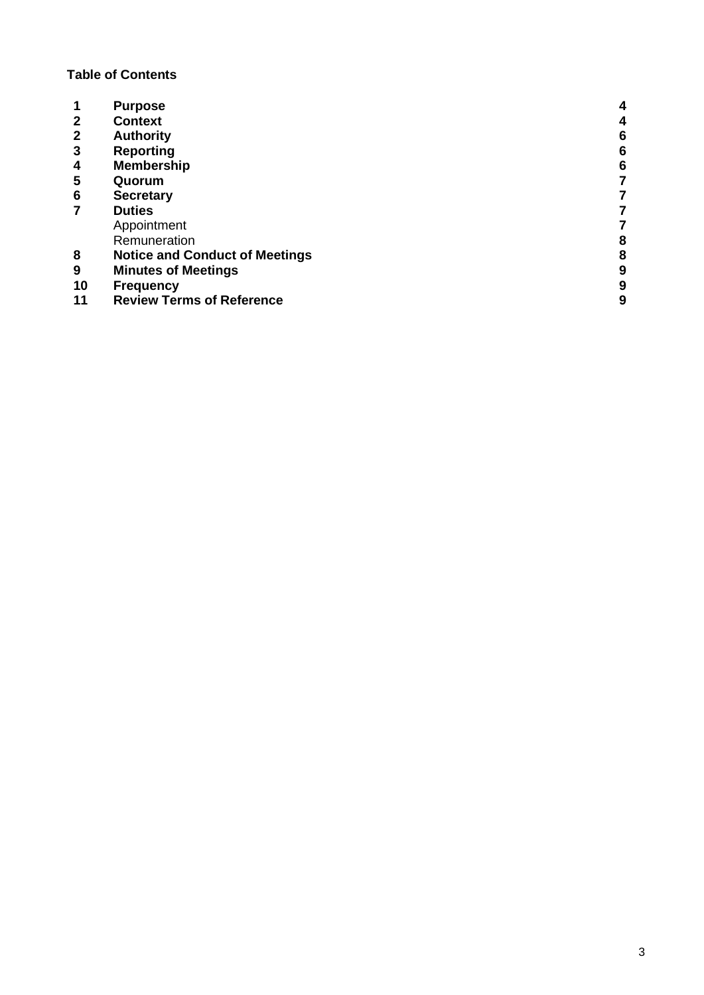# **Table of Contents**

|              | <b>Purpose</b>                        | 4 |
|--------------|---------------------------------------|---|
| $\mathbf{2}$ | <b>Context</b>                        | 4 |
| $\mathbf{2}$ | <b>Authority</b>                      | 6 |
| 3            | <b>Reporting</b>                      | 6 |
| 4            | <b>Membership</b>                     | 6 |
| 5            | Quorum                                |   |
| 6            | <b>Secretary</b>                      |   |
|              | <b>Duties</b>                         |   |
|              | Appointment                           |   |
|              | Remuneration                          | 8 |
| 8            | <b>Notice and Conduct of Meetings</b> | 8 |
| 9            | <b>Minutes of Meetings</b>            | 9 |
| 10           | <b>Frequency</b>                      | 9 |
| 11           | <b>Review Terms of Reference</b>      | 9 |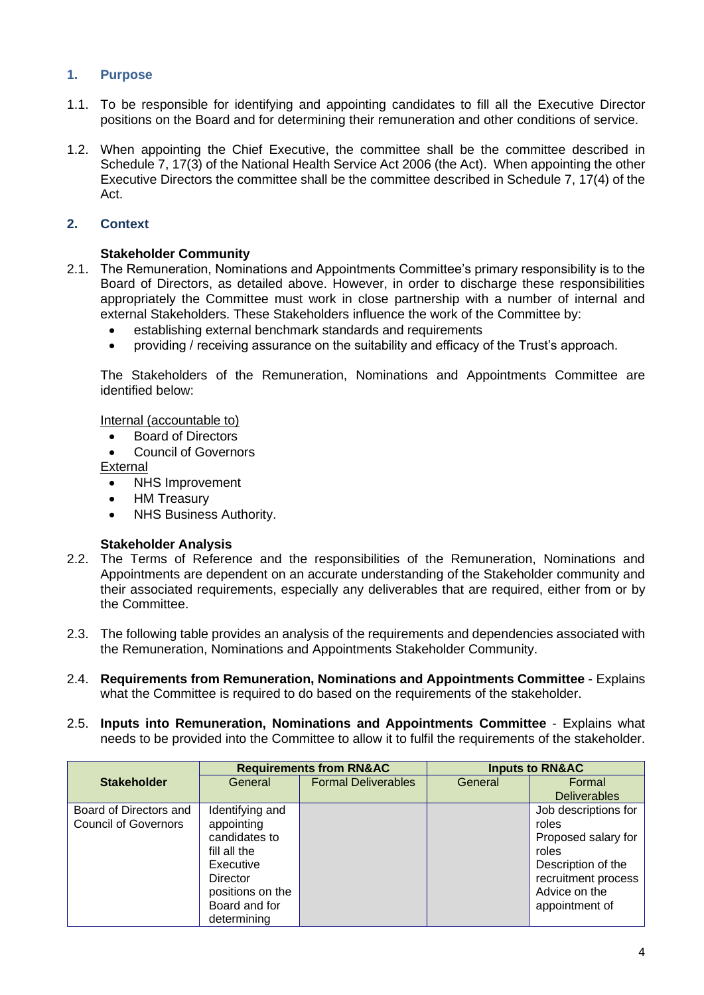# **1. Purpose**

- 1.1. To be responsible for identifying and appointing candidates to fill all the Executive Director positions on the Board and for determining their remuneration and other conditions of service.
- 1.2. When appointing the Chief Executive, the committee shall be the committee described in Schedule 7, 17(3) of the National Health Service Act 2006 (the Act). When appointing the other Executive Directors the committee shall be the committee described in Schedule 7, 17(4) of the Act.

# **2. Context**

# **Stakeholder Community**

- 2.1. The Remuneration, Nominations and Appointments Committee's primary responsibility is to the Board of Directors, as detailed above. However, in order to discharge these responsibilities appropriately the Committee must work in close partnership with a number of internal and external Stakeholders. These Stakeholders influence the work of the Committee by:
	- establishing external benchmark standards and requirements
	- providing / receiving assurance on the suitability and efficacy of the Trust's approach.

The Stakeholders of the Remuneration, Nominations and Appointments Committee are identified below:

Internal (accountable to)

- Board of Directors
- Council of Governors

External

- NHS Improvement
- HM Treasury
- NHS Business Authority.

#### **Stakeholder Analysis**

- 2.2. The Terms of Reference and the responsibilities of the Remuneration, Nominations and Appointments are dependent on an accurate understanding of the Stakeholder community and their associated requirements, especially any deliverables that are required, either from or by the Committee.
- 2.3. The following table provides an analysis of the requirements and dependencies associated with the Remuneration, Nominations and Appointments Stakeholder Community.
- 2.4. **Requirements from Remuneration, Nominations and Appointments Committee**  Explains what the Committee is required to do based on the requirements of the stakeholder.
- 2.5. **Inputs into Remuneration, Nominations and Appointments Committee** Explains what needs to be provided into the Committee to allow it to fulfil the requirements of the stakeholder.

|                             | <b>Requirements from RN&amp;AC</b> |                            | <b>Inputs to RN&amp;AC</b> |                      |
|-----------------------------|------------------------------------|----------------------------|----------------------------|----------------------|
| <b>Stakeholder</b>          | General                            | <b>Formal Deliverables</b> | General                    | Formal               |
|                             |                                    |                            |                            | <b>Deliverables</b>  |
| Board of Directors and      | Identifying and                    |                            |                            | Job descriptions for |
| <b>Council of Governors</b> | appointing                         |                            |                            | roles                |
|                             | candidates to                      |                            |                            | Proposed salary for  |
|                             | fill all the                       |                            |                            | roles                |
|                             | Executive                          |                            |                            | Description of the   |
|                             | Director                           |                            |                            | recruitment process  |
|                             | positions on the                   |                            |                            | Advice on the        |
|                             | Board and for                      |                            |                            | appointment of       |
|                             | determining                        |                            |                            |                      |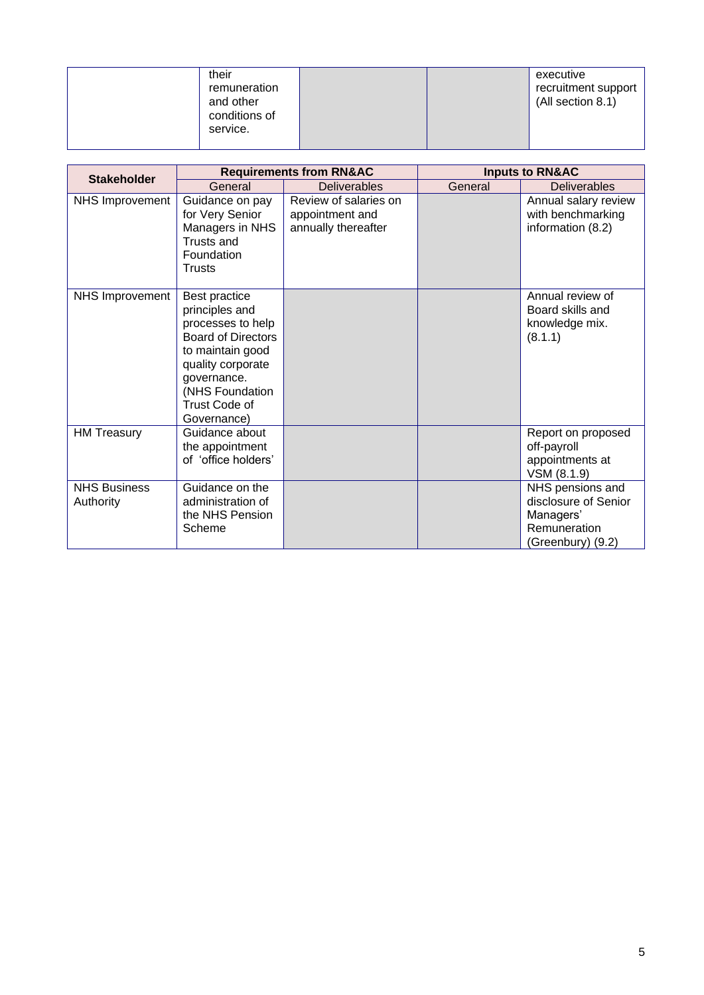| their<br>remuneration<br>and other<br>conditions of<br>service. | executive<br>recruitment support<br>(All section 8.1) |
|-----------------------------------------------------------------|-------------------------------------------------------|
|-----------------------------------------------------------------|-------------------------------------------------------|

|                                  | <b>Requirements from RN&amp;AC</b>                                                                                                                                                           |                                                                 | <b>Inputs to RN&amp;AC</b> |                                                                                            |
|----------------------------------|----------------------------------------------------------------------------------------------------------------------------------------------------------------------------------------------|-----------------------------------------------------------------|----------------------------|--------------------------------------------------------------------------------------------|
| <b>Stakeholder</b>               | General                                                                                                                                                                                      | <b>Deliverables</b>                                             | General                    | <b>Deliverables</b>                                                                        |
| <b>NHS Improvement</b>           | Guidance on pay<br>for Very Senior<br>Managers in NHS<br>Trusts and<br>Foundation<br><b>Trusts</b>                                                                                           | Review of salaries on<br>appointment and<br>annually thereafter |                            | Annual salary review<br>with benchmarking<br>information (8.2)                             |
| <b>NHS Improvement</b>           | Best practice<br>principles and<br>processes to help<br><b>Board of Directors</b><br>to maintain good<br>quality corporate<br>governance.<br>(NHS Foundation<br>Trust Code of<br>Governance) |                                                                 |                            | Annual review of<br>Board skills and<br>knowledge mix.<br>(8.1.1)                          |
| <b>HM Treasury</b>               | Guidance about<br>the appointment<br>of 'office holders'                                                                                                                                     |                                                                 |                            | Report on proposed<br>off-payroll<br>appointments at<br>VSM (8.1.9)                        |
| <b>NHS Business</b><br>Authority | Guidance on the<br>administration of<br>the NHS Pension<br>Scheme                                                                                                                            |                                                                 |                            | NHS pensions and<br>disclosure of Senior<br>Managers'<br>Remuneration<br>(Greenbury) (9.2) |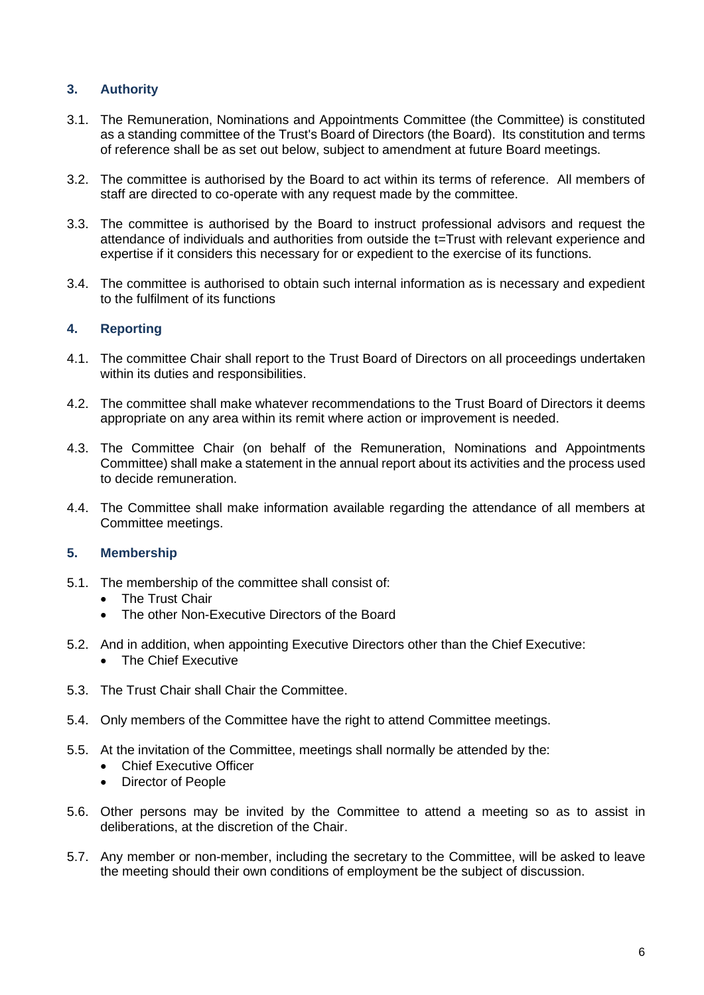# **3. Authority**

- 3.1. The Remuneration, Nominations and Appointments Committee (the Committee) is constituted as a standing committee of the Trust's Board of Directors (the Board). Its constitution and terms of reference shall be as set out below, subject to amendment at future Board meetings.
- 3.2. The committee is authorised by the Board to act within its terms of reference. All members of staff are directed to co-operate with any request made by the committee.
- 3.3. The committee is authorised by the Board to instruct professional advisors and request the attendance of individuals and authorities from outside the t=Trust with relevant experience and expertise if it considers this necessary for or expedient to the exercise of its functions.
- 3.4. The committee is authorised to obtain such internal information as is necessary and expedient to the fulfilment of its functions

# **4. Reporting**

- 4.1. The committee Chair shall report to the Trust Board of Directors on all proceedings undertaken within its duties and responsibilities.
- 4.2. The committee shall make whatever recommendations to the Trust Board of Directors it deems appropriate on any area within its remit where action or improvement is needed.
- 4.3. The Committee Chair (on behalf of the Remuneration, Nominations and Appointments Committee) shall make a statement in the annual report about its activities and the process used to decide remuneration.
- 4.4. The Committee shall make information available regarding the attendance of all members at Committee meetings.

# **5. Membership**

- 5.1. The membership of the committee shall consist of:
	- The Trust Chair
	- The other Non-Executive Directors of the Board
- 5.2. And in addition, when appointing Executive Directors other than the Chief Executive: • The Chief Executive
- 5.3. The Trust Chair shall Chair the Committee.
- 5.4. Only members of the Committee have the right to attend Committee meetings.
- 5.5. At the invitation of the Committee, meetings shall normally be attended by the:
	- Chief Executive Officer
	- Director of People
- 5.6. Other persons may be invited by the Committee to attend a meeting so as to assist in deliberations, at the discretion of the Chair.
- 5.7. Any member or non-member, including the secretary to the Committee, will be asked to leave the meeting should their own conditions of employment be the subject of discussion.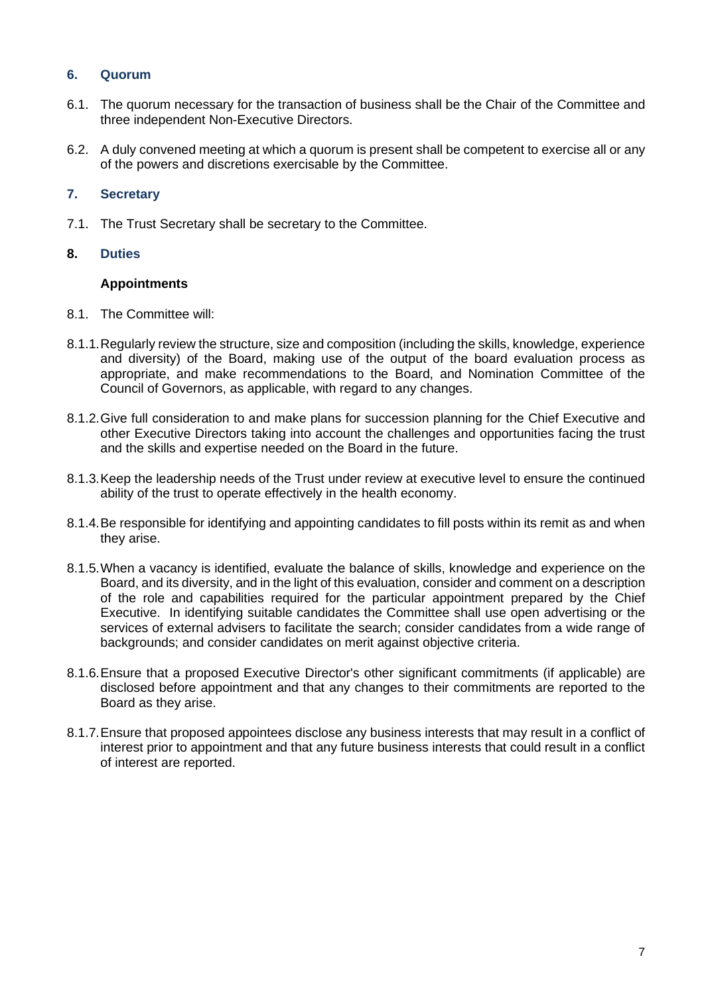# **6. Quorum**

- 6.1. The quorum necessary for the transaction of business shall be the Chair of the Committee and three independent Non-Executive Directors.
- 6.2. A duly convened meeting at which a quorum is present shall be competent to exercise all or any of the powers and discretions exercisable by the Committee.

# **7. Secretary**

7.1. The Trust Secretary shall be secretary to the Committee.

# **8. Duties**

# **Appointments**

- 8.1. The Committee will:
- 8.1.1.Regularly review the structure, size and composition (including the skills, knowledge, experience and diversity) of the Board, making use of the output of the board evaluation process as appropriate, and make recommendations to the Board, and Nomination Committee of the Council of Governors, as applicable, with regard to any changes.
- 8.1.2.Give full consideration to and make plans for succession planning for the Chief Executive and other Executive Directors taking into account the challenges and opportunities facing the trust and the skills and expertise needed on the Board in the future.
- 8.1.3.Keep the leadership needs of the Trust under review at executive level to ensure the continued ability of the trust to operate effectively in the health economy.
- 8.1.4.Be responsible for identifying and appointing candidates to fill posts within its remit as and when they arise.
- 8.1.5.When a vacancy is identified, evaluate the balance of skills, knowledge and experience on the Board, and its diversity, and in the light of this evaluation, consider and comment on a description of the role and capabilities required for the particular appointment prepared by the Chief Executive. In identifying suitable candidates the Committee shall use open advertising or the services of external advisers to facilitate the search; consider candidates from a wide range of backgrounds; and consider candidates on merit against objective criteria.
- 8.1.6.Ensure that a proposed Executive Director's other significant commitments (if applicable) are disclosed before appointment and that any changes to their commitments are reported to the Board as they arise.
- 8.1.7.Ensure that proposed appointees disclose any business interests that may result in a conflict of interest prior to appointment and that any future business interests that could result in a conflict of interest are reported.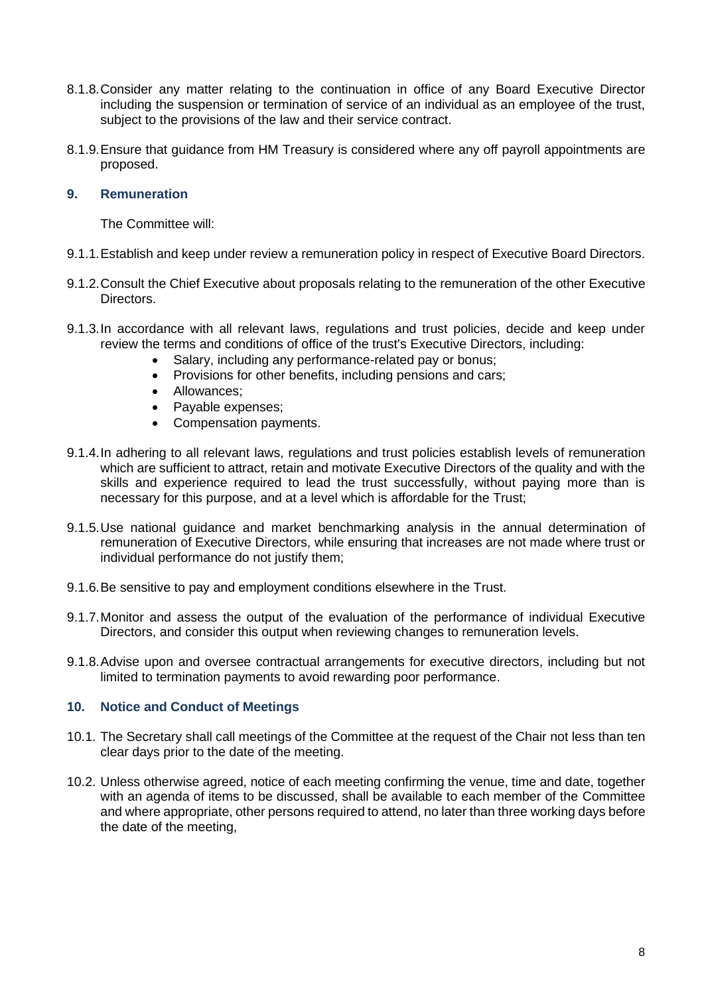- 8.1.8.Consider any matter relating to the continuation in office of any Board Executive Director including the suspension or termination of service of an individual as an employee of the trust, subject to the provisions of the law and their service contract.
- 8.1.9.Ensure that guidance from HM Treasury is considered where any off payroll appointments are proposed.

# **9. Remuneration**

The Committee will:

- 9.1.1.Establish and keep under review a remuneration policy in respect of Executive Board Directors.
- 9.1.2.Consult the Chief Executive about proposals relating to the remuneration of the other Executive Directors.
- 9.1.3.In accordance with all relevant laws, regulations and trust policies, decide and keep under review the terms and conditions of office of the trust's Executive Directors, including:
	- Salary, including any performance-related pay or bonus;
	- Provisions for other benefits, including pensions and cars;
	- Allowances;
	- Payable expenses;
	- Compensation payments.
- 9.1.4.In adhering to all relevant laws, regulations and trust policies establish levels of remuneration which are sufficient to attract, retain and motivate Executive Directors of the quality and with the skills and experience required to lead the trust successfully, without paying more than is necessary for this purpose, and at a level which is affordable for the Trust;
- 9.1.5.Use national guidance and market benchmarking analysis in the annual determination of remuneration of Executive Directors, while ensuring that increases are not made where trust or individual performance do not justify them;
- 9.1.6.Be sensitive to pay and employment conditions elsewhere in the Trust.
- 9.1.7.Monitor and assess the output of the evaluation of the performance of individual Executive Directors, and consider this output when reviewing changes to remuneration levels.
- 9.1.8.Advise upon and oversee contractual arrangements for executive directors, including but not limited to termination payments to avoid rewarding poor performance.

# **10. Notice and Conduct of Meetings**

- 10.1. The Secretary shall call meetings of the Committee at the request of the Chair not less than ten clear days prior to the date of the meeting.
- 10.2. Unless otherwise agreed, notice of each meeting confirming the venue, time and date, together with an agenda of items to be discussed, shall be available to each member of the Committee and where appropriate, other persons required to attend, no later than three working days before the date of the meeting,